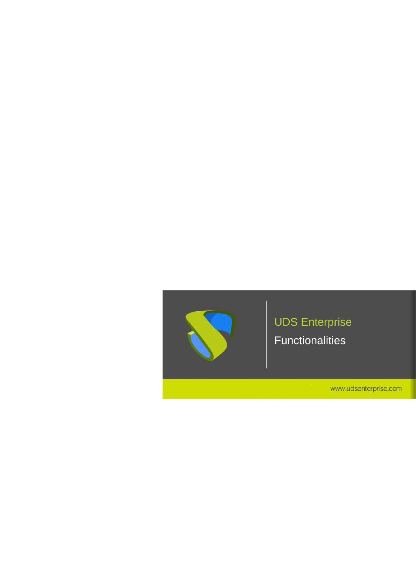

# UDS Enterprise

Functionalities

www.udsenterprise.com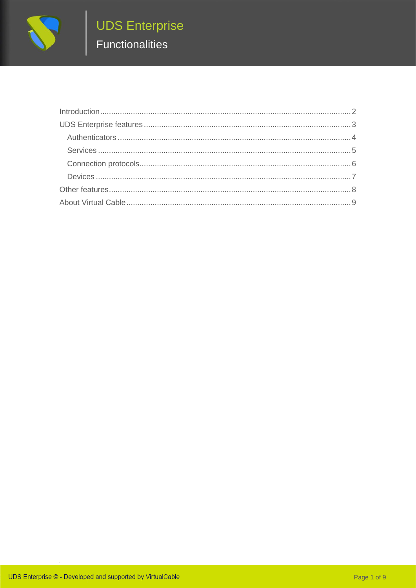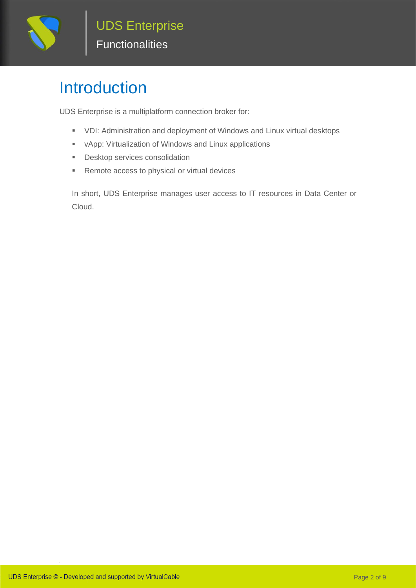

### <span id="page-2-0"></span>Introduction

UDS Enterprise is a multiplatform connection broker for:

- VDI: Administration and deployment of Windows and Linux virtual desktops
- vApp: Virtualization of Windows and Linux applications
- **•** Desktop services consolidation
- Remote access to physical or virtual devices

In short, UDS Enterprise manages user access to IT resources in Data Center or Cloud.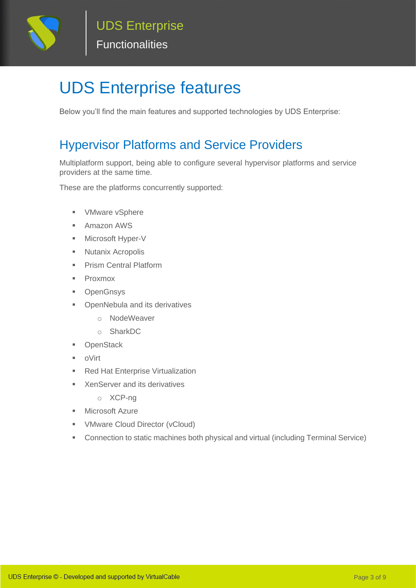

# <span id="page-3-0"></span>**UDS Enterprise features**

Below you'll find the main features and supported technologies by UDS Enterprise:

#### Hypervisor Platforms and Service Providers

Multiplatform support, being able to configure several hypervisor platforms and service providers at the same time.

These are the platforms concurrently supported:

- VMware vSphere
- Amazon AWS
- Microsoft Hyper-V
- Nutanix Acropolis
- **Prism Central Platform**
- Proxmox
- OpenGnsys
- OpenNebula and its derivatives
	- o NodeWeaver
	- o SharkDC
- **OpenStack**
- oVirt
- Red Hat Enterprise Virtualization
- XenServer and its derivatives
	- o XCP-ng
- **■** Microsoft Azure
- VMware Cloud Director (vCloud)
- Connection to static machines both physical and virtual (including Terminal Service)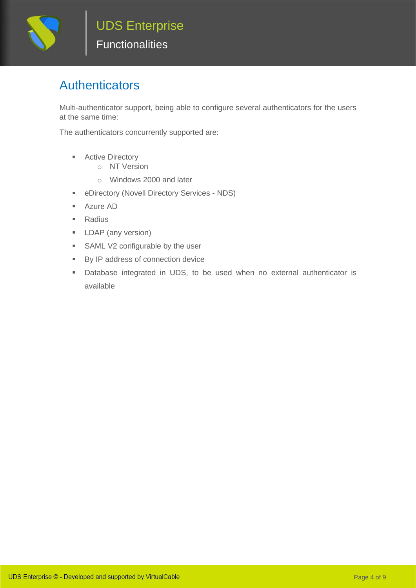

#### <span id="page-4-0"></span>Authenticators

Multi-authenticator support, being able to configure several authenticators for the users at the same time:

The authenticators concurrently supported are:

- Active Directory
	- o NT Version
	- o Windows 2000 and later
- **EXECUTE:** eDirectory (Novell Directory Services NDS)
- Azure AD
- Radius
- **E** LDAP (any version)
- SAML V2 configurable by the user
- By IP address of connection device
- Database integrated in UDS, to be used when no external authenticator is available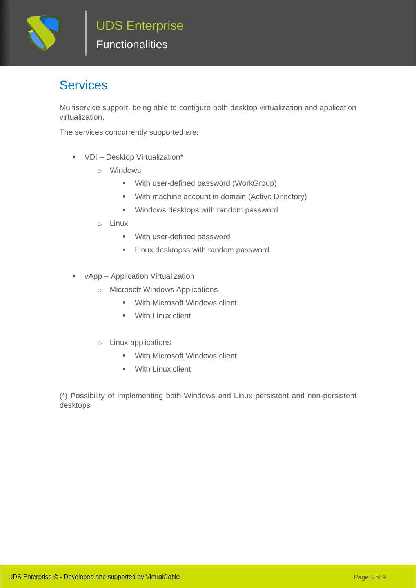

#### <span id="page-5-0"></span>Services

Multiservice support, being able to configure both desktop virtualization and application virtualization.

The services concurrently supported are:

- VDI Desktop Virtualization\*
	- o Windows
		- With user-defined password (WorkGroup)
		- With machine account in domain (Active Directory)
		- Windows desktops with random password
	- o Linux
		- With user-defined password
		- **EXECUTE:** Linux desktopss with random password
- vApp Application Virtualization
	- o Microsoft Windows Applications
		- With Microsoft Windows client
		- With Linux client
	- o Linux applications
		- With Microsoft Windows client
		- With Linux client

(\*) Possibility of implementing both Windows and Linux persistent and non-persistent desktops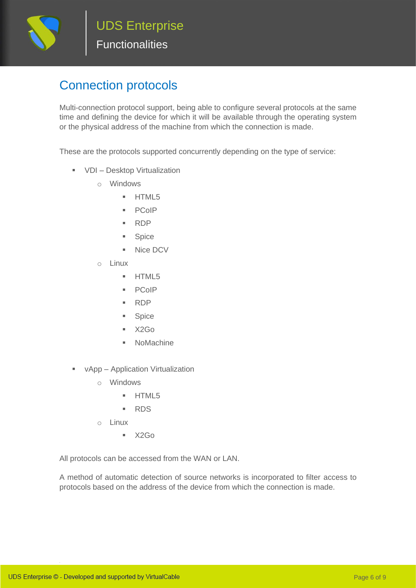

#### <span id="page-6-0"></span>**Connection protocols**

Multi-connection protocol support, being able to configure several protocols at the same time and defining the device for which it will be available through the operating system or the physical address of the machine from which the connection is made.

These are the protocols supported concurrently depending on the type of service:

- VDI Desktop Virtualization
	- o Windows
		- HTML5
		- PCoIP
		- RDP
		- Spice
		- Nice DCV
	- o Linux
		- HTML5
		- PCoIP
		- RDP
		- Spice
		- $\overline{\text{X2Go}}$
		- NoMachine
- vApp Application Virtualization
	- o Windows
		- HTML5
		- RDS
	- o Linux
		- $\blacksquare$  X2Go

All protocols can be accessed from the WAN or LAN.

A method of automatic detection of source networks is incorporated to filter access to protocols based on the address of the device from which the connection is made.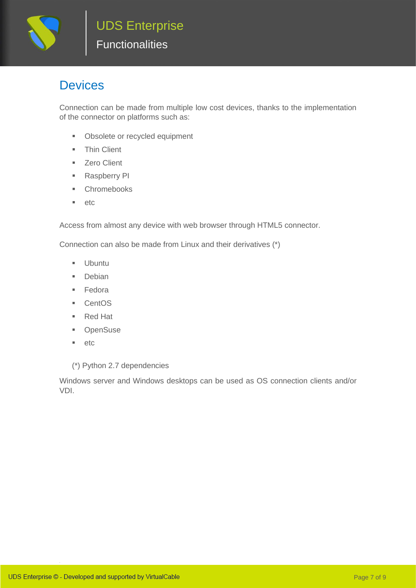

#### <span id="page-7-0"></span>Devices

Connection can be made from multiple low cost devices, thanks to the implementation of the connector on platforms such as:

- Obsolete or recycled equipment
- **■** Thin Client
- Zero Client
- Raspberry PI
- Chromebooks
- etc

Access from almost any device with web browser through HTML5 connector.

Connection can also be made from Linux and their derivatives (\*)

- Ubuntu
- Debian
- Fedora
- CentOS
- Red Hat
- OpenSuse
- etc

(\*) Python 2.7 dependencies

Windows server and Windows desktops can be used as OS connection clients and/or VDI.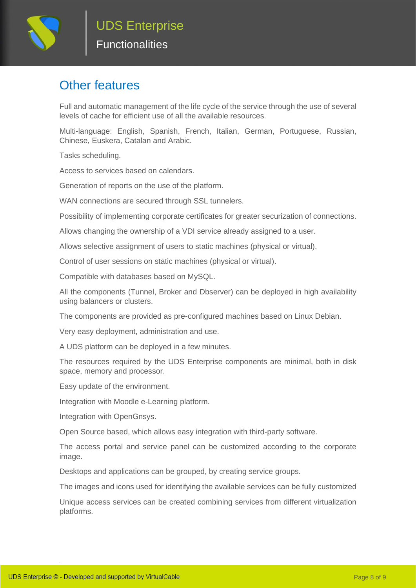

#### <span id="page-8-0"></span>Other features

Full and automatic management of the life cycle of the service through the use of several levels of cache for efficient use of all the available resources.

Multi-language: English, Spanish, French, Italian, German, Portuguese, Russian, Chinese, Euskera, Catalan and Arabic.

Tasks scheduling.

Access to services based on calendars.

Generation of reports on the use of the platform.

WAN connections are secured through SSL tunnelers.

Possibility of implementing corporate certificates for greater securization of connections.

Allows changing the ownership of a VDI service already assigned to a user.

Allows selective assignment of users to static machines (physical or virtual).

Control of user sessions on static machines (physical or virtual).

Compatible with databases based on MySQL.

All the components (Tunnel, Broker and Dbserver) can be deployed in high availability using balancers or clusters.

The components are provided as pre-configured machines based on Linux Debian.

Very easy deployment, administration and use.

A UDS platform can be deployed in a few minutes.

The resources required by the UDS Enterprise components are minimal, both in disk space, memory and processor.

Easy update of the environment.

Integration with Moodle e-Learning platform.

Integration with OpenGnsys.

Open Source based, which allows easy integration with third-party software.

The access portal and service panel can be customized according to the corporate image.

Desktops and applications can be grouped, by creating service groups.

The images and icons used for identifying the available services can be fully customized

Unique access services can be created combining services from different virtualization platforms.